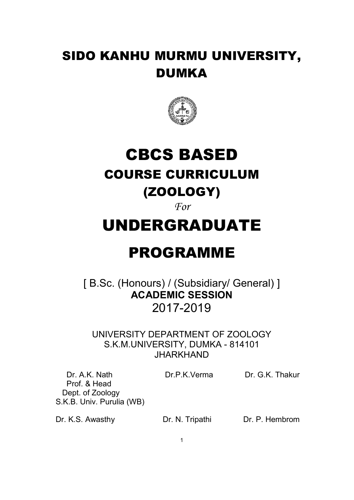# SIDO KANHU MURMU UNIVERSITY, DUMKA



# CBCS BASED COURSE CURRICULUM (ZOOLOGY)

*For* 

# UNDERGRADUATE

# PROGRAMME

[B.Sc. (Honours) / (Subsidiary/ General) ] **ACADEMIC SESSION**  2017-2019

UNIVERSITY DEPARTMENT OF ZOOLOGY S.K.M.UNIVERSITY, DUMKA - 814101 JHARKHAND

Dr. A.K. Nath Dr.P.K.Verma Dr. G.K. Thakur

 Prof. & Head Dept. of Zoology S.K.B. Univ. Purulia (WB)

Dr. K.S. Awasthy Dr. N. Tripathi Dr. P. Hembrom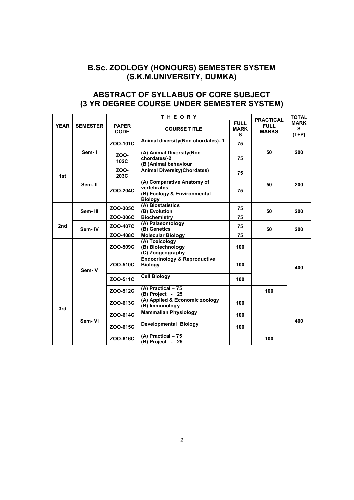### **B.Sc. ZOOLOGY (HONOURS) SEMESTER SYSTEM (S.K.M.UNIVERSITY, DUMKA)**

## **ABSTRACT OF SYLLABUS OF CORE SUBJECT (3 YR DEGREE COURSE UNDER SEMESTER SYSTEM)**

|             | <b>SEMESTER</b> | <b>THEORY</b>               |                                                                                                                   |     |                                                 | <b>TOTAL</b>                |
|-------------|-----------------|-----------------------------|-------------------------------------------------------------------------------------------------------------------|-----|-------------------------------------------------|-----------------------------|
| <b>YEAR</b> |                 | <b>PAPER</b><br><b>CODE</b> | <b>FULL</b><br><b>MARK</b><br><b>COURSE TITLE</b><br>s                                                            |     | <b>PRACTICAL</b><br><b>FULL</b><br><b>MARKS</b> | <b>MARK</b><br>s<br>$(T+P)$ |
|             | Sem-1           | ZOO-101C                    | Animal diversity(Non chordates)-1<br>75<br>(A) Animal Diversity(Non<br>chordates(-2<br>75<br>(B) Animal behaviour |     | 50                                              | 200                         |
| 1st         |                 | ZOO-<br>102C                |                                                                                                                   |     |                                                 |                             |
|             | Sem-II          | ZOO-<br>203C                | <b>Animal Diversity(Chordates)</b>                                                                                | 75  |                                                 |                             |
|             |                 | ZOO-204C                    | (A) Comparative Anatomy of<br>vertebrates<br>(B) Ecology & Environmental<br><b>Biology</b>                        | 75  | 50                                              | 200                         |
|             | Sem-III         | ZOO-305C                    | (A) Biostatistics<br>75<br>(B) Evolution<br>75                                                                    |     | 50                                              | 200                         |
|             |                 | ZOO-306C                    | <b>Biochemistry</b>                                                                                               |     |                                                 |                             |
| 2nd         | Sem-IV          | ZOO-407C                    | (A) Palaeontology<br>(B) Genetics                                                                                 | 75  | 50                                              | 200                         |
|             |                 | ZOO-408C                    | <b>Molecular Biology</b>                                                                                          | 75  |                                                 |                             |
|             |                 | ZOO-509C                    | (A) Toxicology<br>(B) Biotechnology<br>(C) Zoogeography                                                           | 100 |                                                 |                             |
|             | Sem-V           | ZOO-510C                    | <b>Endocrinology &amp; Reproductive</b><br><b>Biology</b>                                                         | 100 |                                                 | 400                         |
| 3rd         |                 | ZOO-511C                    | <b>Cell Biology</b>                                                                                               | 100 |                                                 |                             |
|             |                 | ZOO-512C                    | (A) Practical - 75<br>(B) Project - 25                                                                            |     | 100                                             |                             |
|             | Sem-VI          | ZOO-613C                    | (A) Applied & Economic zoology<br>(B) Immunology                                                                  | 100 |                                                 |                             |
|             |                 | ZOO-614C                    | <b>Mammalian Physiology</b><br>100                                                                                |     |                                                 | 400                         |
|             |                 | ZOO-615C                    | Developmental Biology                                                                                             | 100 |                                                 |                             |
|             |                 | ZOO-616C                    | (A) Practical $-75$<br>(B) Project - 25                                                                           |     | 100                                             |                             |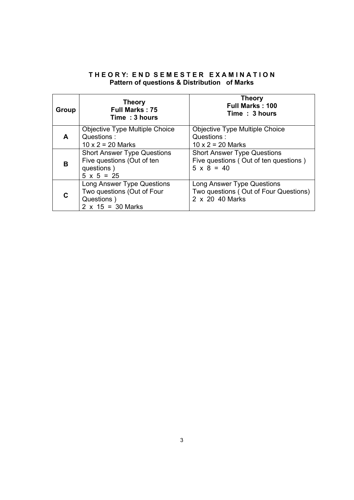### **T H E O R Y: E N D S E M E S T E R E X A M I N A T I O N Pattern of questions & Distribution of Marks**

| Group | <b>Theory</b><br><b>Full Marks: 75</b><br>Time: 3 hours | <b>Theory</b><br><b>Full Marks: 100</b><br>Time: 3 hours |
|-------|---------------------------------------------------------|----------------------------------------------------------|
| A     | <b>Objective Type Multiple Choice</b>                   | Objective Type Multiple Choice                           |
|       | Questions:                                              | Questions:                                               |
|       | $10 \times 2 = 20$ Marks                                | $10 \times 2 = 20$ Marks                                 |
| в     | <b>Short Answer Type Questions</b>                      | <b>Short Answer Type Questions</b>                       |
|       | Five questions (Out of ten                              | Five questions (Out of ten questions)                    |
|       | questions)                                              | $5 \times 8 = 40$                                        |
|       | $5 \times 5 = 25$                                       |                                                          |
|       | Long Answer Type Questions                              | Long Answer Type Questions                               |
|       | Two questions (Out of Four                              | Two questions (Out of Four Questions)                    |
|       | Questions)                                              | 2 x 20 40 Marks                                          |
|       | $2 \times 15 = 30$ Marks                                |                                                          |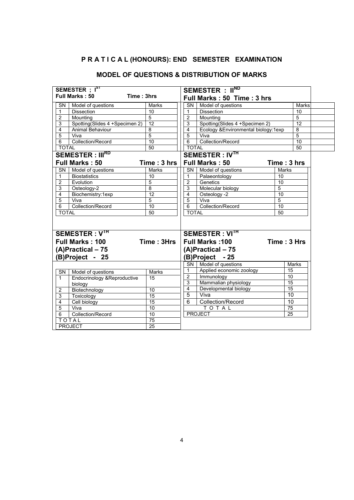#### **P R A T I C A L (HONOURS): END SEMESTER EXAMINATION**

#### **SEMESTER : IST Full Marks : 50 Time : 3hrs SEMESTER : IIND Full Marks : 50 Time : 3 hrs** SN | Model of questions | Marks 1 Dissection 10 2 Mounting 5 3 Spotting(Slides 4 +Specimen 2) 12 4 Animal Behaviour 8<br>5 Viva 5 5 Viva 6 Collection/Record 10<br>TOTAL 50 **TOTAL** SN | Model of questions | Marks 1 Dissection 10 2 Mounting 5<br>3 Spotting (Slides 4 + Specimen 2) 12 3 Spotting(Slides 4 +Specimen 2) 12 4 Ecology &Environmental biology:1exp 8<br>5 Viva 5 5 Viva 5 6 Collection/Record 10<br>TOTAL 50 TOTAL 50 **SEMESTER : IIIRD Full Marks : 50 Time : 3 hrs SEMESTER : IVTH Full Marks : 50 Time : 3 hrs** SN | Model of questions | Marks 1 Biostatistics 10<br>2 Evolution 5 2 Evolution 5<br>3 Osteology-2 8 Osteology-2 4 Biochemistry:1exp 12<br>5 Viva 5 5 Viva 5 6 Collection/Record 10<br>TOTAI 50  $\frac{5}{6}$ TOTAL SN | Model of questions | Marks 1 Palaeontology 10<br>2 Genetics 10 2 Genetics 10<br>3 Molecular biology 5 Molecular biology 4 Osteology -2 10<br>5 Viva 5 Viva<sup>1</sup> 6 Collection/Record 10<br>TOTAL 50  $\frac{1}{\sqrt{1}}$ **SEMESTER : VTH Full Marks : 100 Time : 3Hrs (A)Practical – 75 (B)Project - 25 SEMESTER : VITH Full Marks :100 Time : 3 Hrs (A)Practical – 75 (B)Project - 25** SN Model of questions Marks 1 Endocrinology &Reproductive biology 15 2 Biotechnology 10<br>3 Toxicology 15 3 Toxicology 15<br>4 Cell biology 15 4 Cell biology 15<br>5 Viva 10 Viva 6 Collection/Record 10 TOTAL 75 PROJECT 25 SN Model of questions Marks<br>1 Applied economic zoology 15 1 Applied economic zoology<br>2 Immunology 10 2 Immunology<br>3 Mammalian 3 Mammalian physiology 15<br>4 Developmental biology 15 Developmental biology 5 Viva 10 6 | Collection/Record | 10  $\begin{array}{c|c}\n\hline\n\text{TO T AL} & \text{75} \\
\hline\n\text{ECT} & \text{25}\n\end{array}$ **PROJECT**

#### **MODEL OF QUESTIONS & DISTRIBUTION OF MARKS**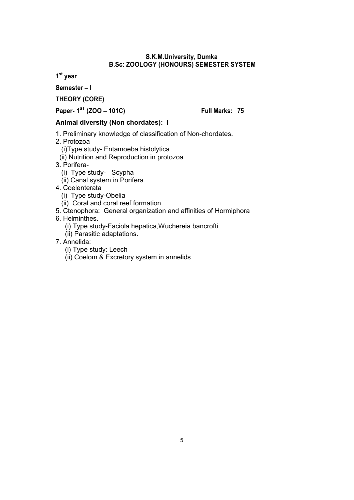#### **S.K.M.University, Dumka B.Sc: ZOOLOGY (HONOURS) SEMESTER SYSTEM**

**1st year** 

**Semester – I**

**THEORY (CORE)**

**Paper- 1ST (ZOO – 101C) Full Marks: 75**

#### **Animal diversity (Non chordates): I**

- 1. Preliminary knowledge of classification of Non-chordates.
- 2. Protozoa

(i)Type study- Entamoeba histolytica

- (ii) Nutrition and Reproduction in protozoa
- 3. Porifera-
	- (i) Type study- Scypha
	- (ii) Canal system in Porifera.
- 4. Coelenterata
	- (i) Type study-Obelia
	- (ii) Coral and coral reef formation.
- 5. Ctenophora: General organization and affinities of Hormiphora
- 6. Helminthes.
	- (i) Type study-Faciola hepatica,Wuchereia bancrofti
	- (ii) Parasitic adaptations.
- 7. Annelida:
	- (i) Type study: Leech
	- (ii) Coelom & Excretory system in annelids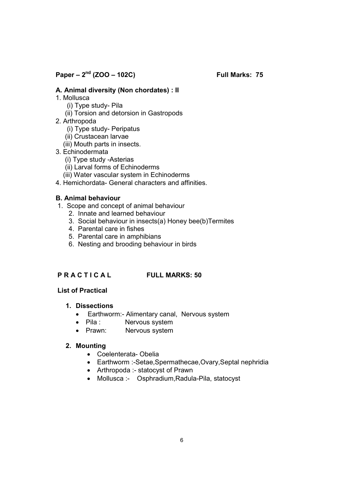**Paper – 2nd (ZOO – 102C) Full Marks: 75**

#### **A. Animal diversity (Non chordates) : II**

- 1. Mollusca
	- (i) Type study- Pila
	- (ii) Torsion and detorsion in Gastropods
- 2. Arthropoda
	- (i) Type study- Peripatus
	- (ii) Crustacean larvae
	- (iii) Mouth parts in insects.
- 3. Echinodermata
	- (i) Type study -Asterias
	- (ii) Larval forms of Echinoderms
	- (iii) Water vascular system in Echinoderms
- 4. Hemichordata- General characters and affinities.

#### **B. Animal behaviour**

- 1. Scope and concept of animal behaviour
	- 2. Innate and learned behaviour
	- 3. Social behaviour in insects(a) Honey bee(b)Termites
	- 4. Parental care in fishes
	- 5. Parental care in amphibians
	- 6. Nesting and brooding behaviour in birds

#### **P R A C T I C A L FULL MARKS: 50**

#### **List of Practical**

#### **1. Dissections**

- Earthworm:- Alimentary canal, Nervous system
- Pila : Nervous system
- Prawn: Nervous system

#### **2. Mounting**

- Coelenterata- Obelia
- Earthworm :-Setae,Spermathecae,Ovary,Septal nephridia
- Arthropoda :- statocyst of Prawn
- Mollusca :- Osphradium,Radula-Pila, statocyst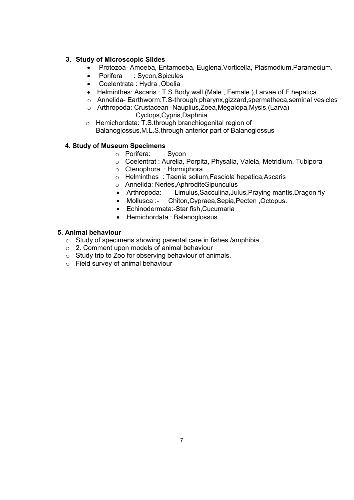#### **3. Study of Microscopic Slides**

- Protozoa- Amoeba, Entamoeba, Euglena,Vorticella, Plasmodium,Paramecium.
- Porifera : Sycon, Spicules
- Coelentrata : Hydra ,Obelia
- Helminthes: Ascaris : T.S Body wall (Male , Female ),Larvae of F.hepatica
- o Annelida- Earthworm:T.S-through pharynx,gizzard,spermatheca,seminal vesicles
- o Arthropoda: Crustacean -Nauplius,Zoea,Megalopa,Mysis,(Larva) Cyclops,Cypris,Daphnia
- o Hemichordata: T.S.through branchiogenital region of Balanoglossus,M.L.S.through anterior part of Balanoglossus

### **4. Study of Museum Specimens**

- o Porifera: Sycon
- o Coelentrat : Aurelia, Porpita, Physalia, Valela, Metridium, Tubipora
- o Ctenophora : Hormiphora
- o Helminthes : Taenia solium,Fasciola hepatica,Ascaris
- o Annelida: Neries,AphroditeSipunculus
- Arthropoda: Limulus,Sacculina,Julus,Praying mantis,Dragon fly
- Mollusca :- Chiton,Cypraea,Sepia,Pecten ,Octopus.
- Echinodermata:-Star fish,Cucumaria
- Hemichordata : Balanoglossus

### **5. Animal behaviour**

- o Study of specimens showing parental care in fishes /amphibia
- o 2. Comment upon models of animal behaviour
- o Study trip to Zoo for observing behaviour of animals.
- o Field survey of animal behaviour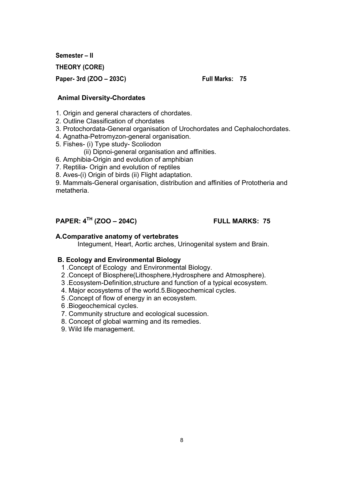**Semester – II** 

**THEORY (CORE)**

**Paper- 3rd (ZOO – 203C) Full Marks: 75**

#### **Animal Diversity-Chordates**

- 1. Origin and general characters of chordates.
- 2. Outline Classification of chordates
- 3. Protochordata-General organisation of Urochordates and Cephalochordates.
- 4. Agnatha-Petromyzon-general organisation.
- 5. Fishes- (i) Type study- Scoliodon
	- (ii) Dipnoi-general organisation and affinities.
- 6. Amphibia-Origin and evolution of amphibian
- 7. Reptilia- Origin and evolution of reptiles
- 8. Aves-(i) Origin of birds (ii) Flight adaptation.

9. Mammals-General organisation, distribution and affinities of Prototheria and metatheria.

# **PAPER: 4TH (ZOO – 204C) FULL MARKS: 75**

#### **A.Comparative anatomy of vertebrates**

Integument, Heart, Aortic arches, Urinogenital system and Brain.

#### **B. Ecology and Environmental Biology**

- 1 .Concept of Ecology and Environmental Biology.
- 2 .Concept of Biosphere(Lithosphere,Hydrosphere and Atmosphere).
- 3 .Ecosystem-Definition,structure and function of a typical ecosystem.
- 4. Major ecosystems of the world.5.Biogeochemical cycles.
- 5 .Concept of flow of energy in an ecosystem.
- 6 .Biogeochemical cycles.
- 7. Community structure and ecological sucession.
- 8. Concept of global warming and its remedies.
- 9. Wild life management.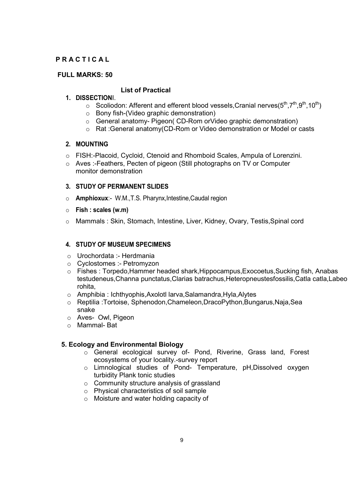#### **P R A C T I C A L**

#### **FULL MARKS: 50**

#### **List of Practical**

#### **1. DISSECTION**I.

- o Scoliodon: Afferent and efferent blood vessels, Cranial nerves( $5<sup>th</sup>$ ,  $7<sup>th</sup>$ ,  $9<sup>th</sup>$ ,  $10<sup>th</sup>$ )
- o Bony fish-(Video graphic demonstration)
- o General anatomy- Pigeon( CD-Rom orVideo graphic demonstration)
- o Rat :General anatomy(CD-Rom or Video demonstration or Model or casts

#### **2. MOUNTING**

- o FISH:-Placoid, Cycloid, Ctenoid and Rhomboid Scales, Ampula of Lorenzini.
- o Aves :-Feathers, Pecten of pigeon (Still photographs on TV or Computer monitor demonstration

#### **3. STUDY OF PERMANENT SLIDES**

- o **Amphioxux**:- W.M.,T.S. Pharynx,Intestine,Caudal region
- o **Fish : scales (w.m)**
- o Mammals : Skin, Stomach, Intestine, Liver, Kidney, Ovary, Testis,Spinal cord

### **4. STUDY OF MUSEUM SPECIMENS**

- o Urochordata :- Herdmania
- o Cyclostomes :- Petromyzon
- o Fishes : Torpedo,Hammer headed shark,Hippocampus,Exocoetus,Sucking fish, Anabas testudeneus,Channa punctatus,Clarias batrachus,Heteropneustesfossilis,Catla catla,Labeo rohita,
- o Amphibia : Ichthyophis,Axolotl larva,Salamandra,Hyla,Alytes
- o Reptilia :Tortoise, Sphenodon,Chameleon,DracoPython,Bungarus,Naja,Sea snake
- o Aves- Owl, Pigeon
- o Mammal- Bat

#### **5. Ecology and Environmental Biology**

- o General ecological survey of- Pond, Riverine, Grass land, Forest ecosystems of your locality.-survey report
- o Limnological studies of Pond- Temperature, pH,Dissolved oxygen turbidity Plank tonic studies
- o Community structure analysis of grassland
- o Physical characteristics of soil sample
- o Moisture and water holding capacity of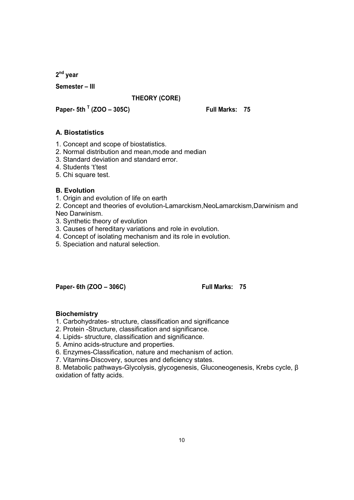**2nd year** 

**Semester – III**

#### **THEORY (CORE)**

**Paper- 5th <sup>T</sup> (ZOO – 305C) Full Marks: 75**

#### **A. Biostatistics**

- 1. Concept and scope of biostatistics.
- 2. Normal distribution and mean,mode and median
- 3. Standard deviation and standard error.
- 4. Students 't'test
- 5. Chi square test.

#### **B. Evolution**

- 1. Origin and evolution of life on earth
- 2. Concept and theories of evolution-Lamarckism,NeoLamarckism,Darwinism and Neo Darwinism.
- 3. Synthetic theory of evolution
- 3. Causes of hereditary variations and role in evolution.
- 4. Concept of isolating mechanism and its role in evolution.
- 5. Speciation and natural selection.

**Paper- 6th (ZOO – 306C) Full Marks: 75**

### **Biochemistry**

- 1. Carbohydrates- structure, classification and significance
- 2. Protein -Structure, classification and significance.
- 4. Lipids- structure, classification and significance.
- 5. Amino acids-structure and properties.
- 6. Enzymes-Classification, nature and mechanism of action.
- 7. Vitamins-Discovery, sources and deficiency states.

8. Metabolic pathways-Glycolysis, glycogenesis, Gluconeogenesis, Krebs cycle, β oxidation of fatty acids.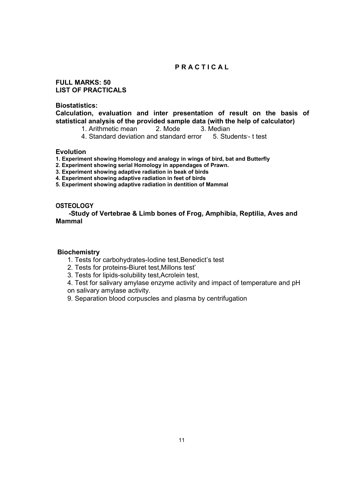#### **P R A C T I C A L**

**FULL MARKS: 50 LIST OF PRACTICALS**

**Biostatistics:**

**Calculation, evaluation and inter presentation of result on the basis of statistical analysis of the provided sample data (with the help of calculator)**

- 1. Arithmetic mean2. Mode 3. Median
- 4. Standard deviation and standard error 5. Students'-t test

#### **Evolution**

**1. Experiment showing Homology and analogy in wings of bird, bat and Butterfly**

- **2. Experiment showing serial Homology in appendages of Prawn.**
- **3. Experiment showing adaptive radiation in beak of birds**
- **4. Experiment showing adaptive radiation in feet of birds**
- **5. Experiment showing adaptive radiation in dentition of Mammal**

#### **OSTEOLOGY**

 **-Study of Vertebrae & Limb bones of Frog, Amphibia, Reptilia, Aves and Mammal**

#### **Biochemistry**

- 1. Tests for carbohydrates-Iodine test,Benedict's test
- 2. Tests for proteins-Biuret test,Millons test'
- 3. Tests for lipids-solubility test,Acrolein test,
- 4. Test for salivary amylase enzyme activity and impact of temperature and pH on salivary amylase activity.
- 9. Separation blood corpuscles and plasma by centrifugation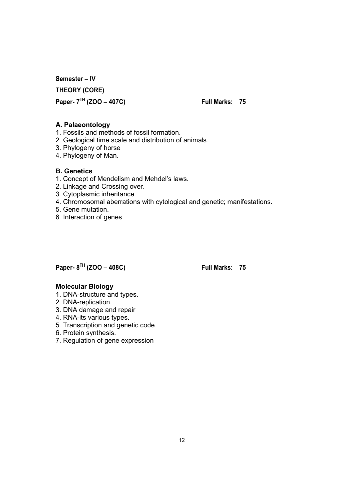**Semester – IV THEORY (CORE) Paper- 7TH (ZOO – 407C) Full Marks: 75**

#### **A. Palaeontology**

- 1. Fossils and methods of fossil formation.
- 2. Geological time scale and distribution of animals.
- 3. Phylogeny of horse
- 4. Phylogeny of Man.

#### **B. Genetics**

- 1. Concept of Mendelism and Mehdel's laws.
- 2. Linkage and Crossing over.
- 3. Cytoplasmic inheritance.
- 4. Chromosomal aberrations with cytological and genetic; manifestations.
- 5. Gene mutation.
- 6. Interaction of genes.

## **Paper- 8TH (ZOO – 408C) Full Marks: 75**

#### **Molecular Biology**

- 1. DNA-structure and types.
- 2. DNA-replication.
- 3. DNA damage and repair
- 4. RNA-its various types.
- 5. Transcription and genetic code.
- 6. Protein synthesis.
- 7. Regulation of gene expression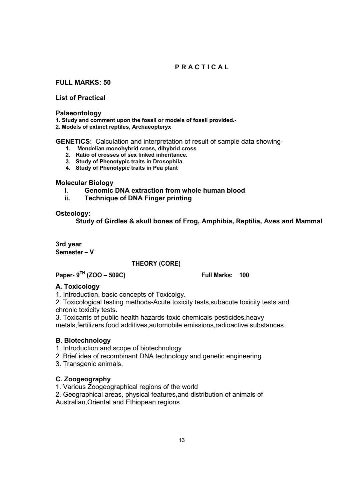### **P R A C T I C A L**

**FULL MARKS: 50**

**List of Practical**

#### **Palaeontology**

**1. Study and comment upon the fossil or models of fossil provided.-**

**2. Models of extinct reptiles, Archaeopteryx**

**GENETICS**: Calculation and interpretation of result of sample data showing-

- **1. Mendelian monohybrid cross, dihybrid cross**
- **2. Ratio of crosses of sex linked inheritance.**
- **3. Study of Phenotypic traits in Drosophila**
- **4. Study of Phenotypic traits in Pea plant**

#### **Molecular Biology**

- **i. Genomic DNA extraction from whole human blood**
- **ii. Technique of DNA Finger printing**

#### **Osteology:**

**Study of Girdles & skull bones of Frog, Amphibia, Reptilia, Aves and Mammal**

**3rd year Semester – V**

#### **THEORY (CORE)**

**Paper- 9TH (ZOO – 509C) Full Marks: 100**

#### **A. Toxicology**

1. Introduction, basic concepts of Toxicolgy.

2. Toxicological testing methods-Acute toxicity tests,subacute toxicity tests and chronic toxicity tests.

3. Toxicants of public health hazards-toxic chemicals-pesticides,heavy

metals,fertilizers,food additives,automobile emissions,radioactive substances.

#### **B. Biotechnology**

- 1. Introduction and scope of biotechnology
- 2. Brief idea of recombinant DNA technology and genetic engineering.
- 3. Transgenic animals.

#### **C. Zoogeography**

- 1. Various Zoogeographical regions of the world
- 2. Geographical areas, physical features,and distribution of animals of Australian,Oriental and Ethiopean regions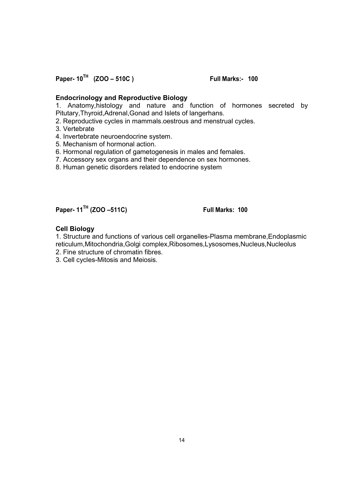**Paper- 10TH (ZOO – 510C ) Full Marks:- 100**

#### **Endocrinology and Reproductive Biology**

1. Anatomy,histology and nature and function of hormones secreted by Pitutary,Thyroid,Adrenal,Gonad and Islets of langerhans.

2. Reproductive cycles in mammals.oestrous and menstrual cycles.

- 3. Vertebrate
- 4. Invertebrate neuroendocrine system.
- 5. Mechanism of hormonal action.
- 6. Hormonal regulation of gametogenesis in males and females.
- 7. Accessory sex organs and their dependence on sex hormones.
- 8. Human genetic disorders related to endocrine system

# **Paper- 11TH (ZOO –511C) Full Marks: 100**

#### **Cell Biology**

1. Structure and functions of various cell organelles-Plasma membrane,Endoplasmic reticulum,Mitochondria,Golgi complex,Ribosomes,Lysosomes,Nucleus,Nucleolus

- 2. Fine structure of chromatin fibres.
- 3. Cell cycles-Mitosis and Meiosis.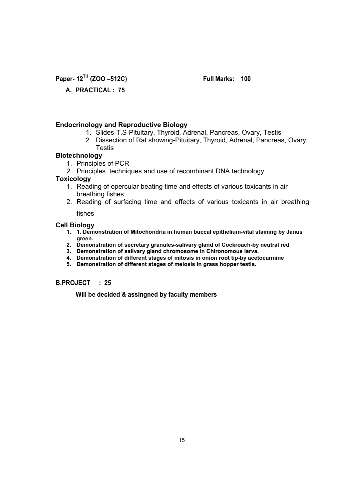**Paper- 12TH (ZOO –512C) Full Marks: 100**

### **A. PRACTICAL : 75**

#### **Endocrinology and Reproductive Biology**

- 1. Slides-T.S-Pituitary, Thyroid, Adrenal, Pancreas, Ovary, Testis
- 2. Dissection of Rat showing-Pituitary, Thyroid, Adrenal, Pancreas, Ovary, **Testis**

#### **Biotechnology**

- 1. Principles of PCR
- 2. Principles techniques and use of recombinant DNA technology

#### **Toxicology**

- 1. Reading of opercular beating time and effects of various toxicants in air breathing fishes.
- 2. Reading of surfacing time and effects of various toxicants in air breathing

fishes

#### **Cell Biology**

- **1. 1. Demonstration of Mitochondria in human buccal epithelium-vital staining by Janus green.**
- **2. Demonstration of secretary granules-salivary gland of Cockroach-by neutral red**
- **3. Demonstration of salivary gland chromosome in Chironomous larva.**
- **4. Demonstration of different stages of mitosis in onion root tip-by acetocarmine**
- **5. Demonstration of different stages of meiosis in grass hopper testis.**

#### **B.PROJECT : 25**

**Will be decided & assingned by faculty members**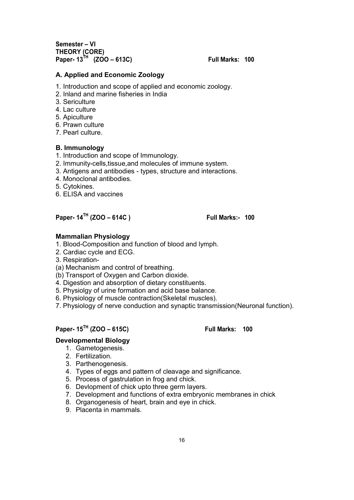**Semester – VI THEORY (CORE) Paper- 13TH (ZOO – 613C) Full Marks: 100**

#### **A. Applied and Economic Zoology**

- 1. Introduction and scope of applied and economic zoology.
- 2. Inland and marine fisheries in India
- 3. Sericulture
- 4. Lac culture
- 5. Apiculture
- 6. Prawn culture
- 7. Pearl culture.

#### **B. Immunology**

- 1. Introduction and scope of Immunology.
- 2. Immunity-cells,tissue,and molecules of immune system.
- 3. Antigens and antibodies types, structure and interactions.
- 4. Monoclonal antibodies.
- 5. Cytokines.
- 6. ELISA and vaccines

### **Paper- 14TH (ZOO – 614C ) Full Marks:- 100**

#### **Mammalian Physiology**

- 1. Blood-Composition and function of blood and lymph.
- 2. Cardiac cycle and ECG.
- 3. Respiration-
- (a) Mechanism and control of breathing.
- (b) Transport of Oxygen and Carbon dioxide.
- 4. Digestion and absorption of dietary constituents.
- 5. Physiolgy of urine formation and acid base balance.
- 6. Physiology of muscle contraction(Skeletal muscles).
- 7. Physiology of nerve conduction and synaptic transmission(Neuronal function).

### **Paper- 15TH (ZOO – 615C) Full Marks: 100**

#### **Developmental Biology**

- 1. Gametogenesis.
- 2. Fertilization.
- 3. Parthenogenesis.
- 4. Types of eggs and pattern of cleavage and significance.
- 5. Process of gastrulation in frog and chick.
- 6. Devlopment of chick upto three germ layers.
- 7. Development and functions of extra embryonic membranes in chick
- 8. Organogenesis of heart, brain and eye in chick.
- 9. Placenta in mammals.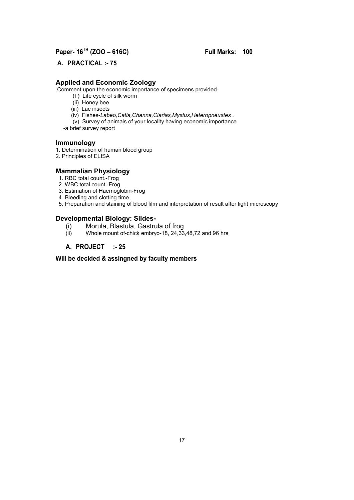## **Paper- 16TH (ZOO – 616C) Full Marks: 100**

**A. PRACTICAL :- 75**

#### **Applied and Economic Zoology**

Comment upon the economic importance of specimens provided-

- (I ) Life cycle of silk worm
- (ii) Honey bee
- (iii) Lac insects
- (iv) Fishes-*Labeo,Catla,Channa,Clarias,Mystus,Heteropneustes* .
- (v) Survey of animals of your locality having economic importance
- -a brief survey report

#### **Immunology**

- 1. Determination of human blood group
- 2. Principles of ELISA

#### **Mammalian Physiology**

- 1. RBC total count.-Frog
- 2. WBC total count.-Frog
- 3. Estimation of Haemoglobin-Frog
- 4. Bleeding and clotting time.
- 5. Preparation and staining of blood film and interpretation of result after light microscopy

#### **Developmental Biology: Slides-**

- (i) Morula, Blastula, Gastrula of frog
- Whole mount of-chick embryo-18, 24,33,48,72 and 96 hrs

#### **A. PROJECT :- 25**

#### **Will be decided & assingned by faculty members**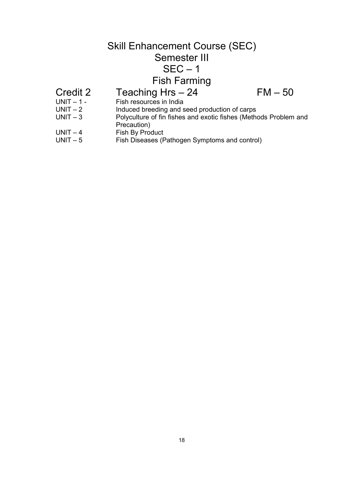# Skill Enhancement Course (SEC) Semester III  $SEC - 1$ Fish Farming Credit 2 Teaching Hrs  $- 24$  FM  $- 50$ <br>UNIT  $- 1$ - Fish resources in India

- UNIT 1 Fish resources in India<br>UNIT 2 lnduced breeding and s
- UNIT 2 Induced breeding and seed production of carps<br>UNIT 3 Polyculture of fin fishes and exotic fishes (Meth
- Polyculture of fin fishes and exotic fishes (Methods Problem and Precaution)
- UNIT 4 Fish By Product<br>UNIT 5 Fish Diseases (F
- Fish Diseases (Pathogen Symptoms and control)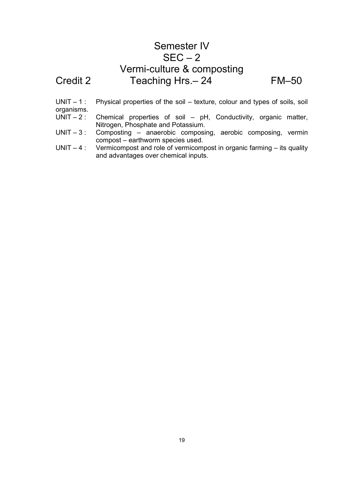# Semester IV  $SEC - 2$ Vermi-culture & composting Credit 2 Teaching Hrs. - 24 FM-50

 $UNIT - 1$ : Physical properties of the soil – texture, colour and types of soils, soil

- organisms.<br>UNIT 2 : Chemical properties of soil –  $pH$ , Conductivity, organic matter, Nitrogen, Phosphate and Potassium.
- UNIT 3 : Composting anaerobic composing, aerobic composing, vermin compost – earthworm species used.
- $UNIT 4$ : Vermicompost and role of vermicompost in organic farming its quality and advantages over chemical inputs.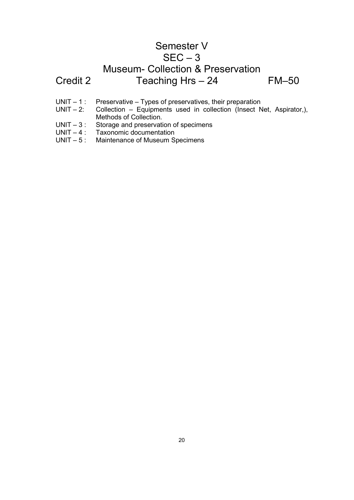# Semester V  $SEC - 3$ Museum- Collection & Preservation Credit 2 Teaching Hrs – 24 FM–50

- UNIT 1 : Preservative Types of preservatives, their preparation<br>UNIT 2: Collection Equipments used in collection (Insect N
- Collection Equipments used in collection (Insect Net, Aspirator,), Methods of Collection.
- UNIT 3 : Storage and preservation of specimens<br>UNIT 4 : Taxonomic documentation
- UNIT 4 : Taxonomic documentation<br>UNIT 5 : Maintenance of Museum S
- Maintenance of Museum Specimens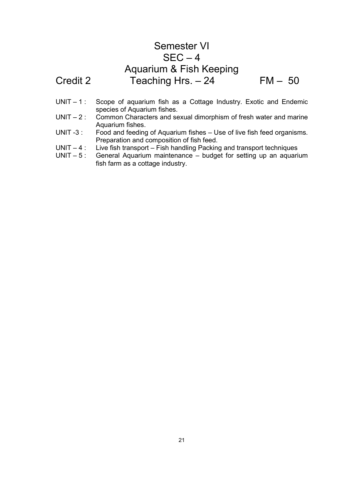# Semester VI  $SEC - 4$ Aquarium & Fish Keeping Credit 2 Teaching Hrs. – 24 FM – 50

- UNIT 1 : Scope of aquarium fish as a Cottage Industry. Exotic and Endemic species of Aquarium fishes.
- UNIT 2 : Common Characters and sexual dimorphism of fresh water and marine Aquarium fishes.
- UNIT -3 : Food and feeding of Aquarium fishes Use of live fish feed organisms. Preparation and composition of fish feed.
- UNIT 4 : Live fish transport Fish handling Packing and transport techniques<br>UNIT 5 : General Aquarium maintenance budget for setting up an aquari
- General Aquarium maintenance budget for setting up an aquarium fish farm as a cottage industry.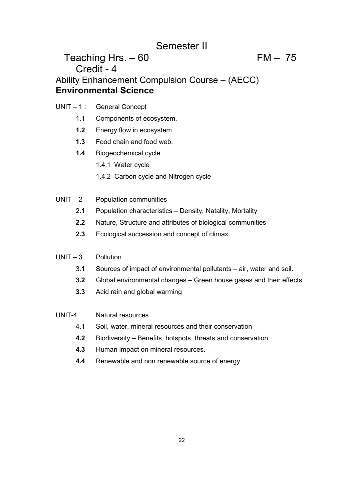# Semester II

# Teaching Hrs.  $-60$  FM  $-75$ Credit - 4 Ability Enhancement Compulsion Course – (AECC) **Environmental Science**

- UNIT 1 : General Concept
	- 1.1 Components of ecosystem.
	- **1.2** Energy flow in ecosystem.
	- **1.3** Food chain and food web.
	- **1.4** Biogeochemical cycle.
		- 1.4.1 Water cycle
		- 1.4.2 Carbon cycle and Nitrogen cycle
- UNIT 2 Population communities
	- 2.1 Population characteristics Density, Natality, Mortality
	- **2.2** Nature, Structure and attributes of biological communities
	- **2.3** Ecological succession and concept of climax

#### UNIT – 3 Pollution

- 3.1 Sources of impact of environmental pollutants air, water and soil.
- **3.2** Global environmental changes Green house gases and their effects
- **3.3** Acid rain and global warming

#### UNIT-4 Natural resources

- 4.1 Soil, water, mineral resources and their conservation
- **4.2** Biodiversity Benefits, hotspots, threats and conservation
- **4.3** Human impact on mineral resources.
- **4.4** Renewable and non renewable source of energy.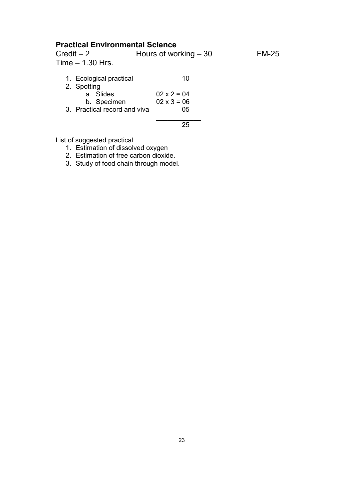## **Practical Environmental Science**

| $Credit - 2$     | Hours of working $-30$ | <b>FM-25</b> |
|------------------|------------------------|--------------|
| Time - 1.30 Hrs. |                        |              |

| 1. Ecological practical -    | 10                 |
|------------------------------|--------------------|
| 2. Spotting                  |                    |
| a. Slides                    | $02 \times 2 = 04$ |
| b. Specimen                  | $02 \times 3 = 06$ |
| 3. Practical record and viva | 05                 |
|                              |                    |
|                              |                    |

List of suggested practical

- 1. Estimation of dissolved oxygen
- 2. Estimation of free carbon dioxide.
- 3. Study of food chain through model.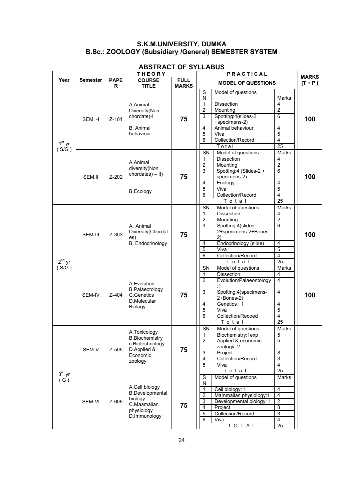#### **S.K.M.UNIVERSITY, DUMKA B.Sc.: ZOOLOGY (Subsidiary /General) SEMESTER SYSTEM**

|                      |                 | <b>THEORY</b>    |                                                                                                  |                             | PRACTICAL                                                                                                                                                                                                                                                                                                                                  | <b>MARKS</b> |
|----------------------|-----------------|------------------|--------------------------------------------------------------------------------------------------|-----------------------------|--------------------------------------------------------------------------------------------------------------------------------------------------------------------------------------------------------------------------------------------------------------------------------------------------------------------------------------------|--------------|
| Year                 | <b>Semester</b> | <b>PAPE</b><br>R | <b>COURSE</b><br><b>TITLE</b>                                                                    | <b>FULL</b><br><b>MARKS</b> | <b>MODEL OF QUESTIONS</b>                                                                                                                                                                                                                                                                                                                  | $(T + P)$    |
| $1st$ yr<br>(S/G)    | SEM.-I          | $Z - 101$        | A.Animal<br>Diversity(Non<br>chordate)-l<br><b>B.</b> Animal<br>behaviour                        | 75                          | S<br>Model of questions<br>N<br>Marks<br>$\mathbf{1}$<br><b>Dissection</b><br>4<br>$\overline{2}$<br>$\overline{2}$<br>Mounting<br>Spotting:4(slides-2)<br>3<br>6<br>+specimens-2)<br>Animal behaviour<br>4<br>4<br>$\overline{5}$<br>5<br>Viva<br>Collection/Record<br>4<br>6<br>Total<br>25                                              | 100          |
|                      | SEM.II          | Z-202            | A.Animal<br>diversity(Non<br>$chordates$ $) -$ II)<br><b>B.Ecology</b>                           | 75                          | SN<br>Model of questions<br>Marks<br><b>Dissection</b><br>4<br>1<br>$\overline{2}$<br>$\overline{c}$<br>Mounting<br>3<br>Spotting:4 (Slides-2 +<br>$\overline{6}$<br>specimens-2)<br>Ecology<br>4<br>4<br>5<br>5<br>Viva<br>4<br>6<br>Collection/Record<br>$\overline{25}$<br>Total                                                        | 100          |
| $2^{nd}$ yr<br>(S/G) | SEM-III         | Z-303            | A. Animal<br>Diversity(Chordat<br>es)<br><b>B.</b> Endocrinology                                 | 75                          | Model of questions<br>SN<br>Marks<br><b>Dissection</b><br>$\overline{\mathbf{4}}$<br>1<br>$\overline{c}$<br>$\overline{c}$<br>Mounting<br>Spotting:4(slides-<br>3<br>6<br>2+specimens-2+Bones-<br>2)<br>Endocrinology (slide)<br>4<br>4<br>$\overline{5}$<br>5<br>Viva<br>6<br>Collection/Record<br>4<br>25<br>Total                       | 100          |
|                      | SEM-IV          | Z-404            | A.Evolution<br><b>B.Palaeotology</b><br>C.Genetics<br>D.Molecular<br>Biology                     | 75                          | Model of questions<br>SN<br>Marks<br><b>Dissection</b><br>4<br>1<br>$\overline{2}$<br>4<br>Evolution/Palaeontology<br>:1<br>$\overline{\mathbf{4}}$<br>3<br>Spotting:4(specimens-<br>2+Bones-2)<br>Genetics: 1<br>4<br>4<br>5<br>5<br>Viva<br>4<br>6<br>Collection/Recoed<br>$\overline{25}$<br>$\overline{\mathsf{T} \circ \mathsf{t}}$ a | 100          |
| $3rd$ yr<br>(G)      | SEM-V           | Z-505            | A.Toxicology<br><b>B.Biochemistry</b><br>c.Biotechnology<br>D.Applied &<br>Economic<br>zoology   | 75                          | SN<br>Model of questions<br>Marks<br>5<br>1<br>Biochemistry:1exp<br>Applied & economic<br>5<br>$\overline{2}$<br>zoology: 2<br>3<br>8<br>Project<br>Collection/Record<br>3<br>$\overline{4}$<br>5<br>4<br>Viva<br>Total<br>25                                                                                                              |              |
|                      | SEM-VI          | Z-606            | A.Cell biology<br><b>B.Developmental</b><br>biology<br>C.Maamalian<br>physiology<br>D.Immunology | 75                          | Model of questions<br>S<br>Marks<br>N<br>Cell biology: 1<br>4<br>1<br>$\overline{c}$<br>Mammalian physiology:1<br>$\overline{\mathbf{4}}$<br>$\overline{3}$<br>Developmental biology: 1<br>$\overline{2}$<br>$\overline{4}$<br>8<br>Project<br>Collection/Record<br>3<br>5<br>4<br>6<br>Viva<br>TOTAL<br>25                                |              |

### **ABSTRACT OF SYLLABUS**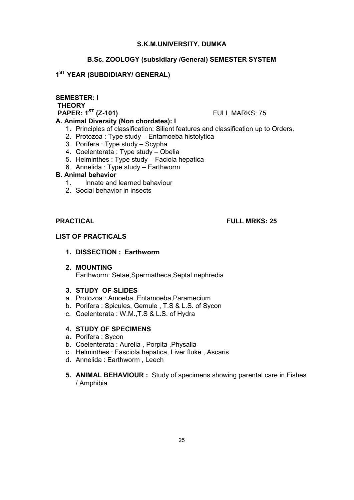#### **S.K.M.UNIVERSITY, DUMKA**

#### **B.Sc. ZOOLOGY (subsidiary /General) SEMESTER SYSTEM**

#### **1ST YEAR (SUBDIDIARY/ GENERAL)**

#### **SEMESTER: I THEORY PAPER: 1<sup>ST</sup> (Z-101) FULL MARKS: 75**

- 1. Principles of classification: Silient features and classification up to Orders.
- 2. Protozoa : Type study Entamoeba histolytica
- 3. Porifera : Type study Scypha

**A. Animal Diversity (Non chordates): I**

- 4. Coelenterata : Type study Obelia
- 5. Helminthes : Type study Faciola hepatica
- 6. Annelida : Type study Earthworm

#### **B. Animal behavior**

- 1.Innate and learned bahaviour
- 2. Social behavior in insects

#### **PRACTICAL FULL MRKS: 25**

#### **LIST OF PRACTICALS**

- **1. DISSECTION : Earthworm**
- **2. MOUNTING** Earthworm: Setae,Spermatheca,Septal nephredia
- **3. STUDY OF SLIDES**
- a. Protozoa : Amoeba ,Entamoeba,Paramecium
- b. Porifera : Spicules, Gemule , T.S & L.S. of Sycon
- c. Coelenterata : W.M.,T.S & L.S. of Hydra

#### **4. STUDY OF SPECIMENS**

- a. Porifera : Sycon
- b. Coelenterata : Aurelia , Porpita ,Physalia
- c. Helminthes : Fasciola hepatica, Liver fluke , Ascaris
- d. Annelida : Earthworm , Leech
- **5. ANIMAL BEHAVIOUR :** Study of specimens showing parental care in Fishes / Amphibia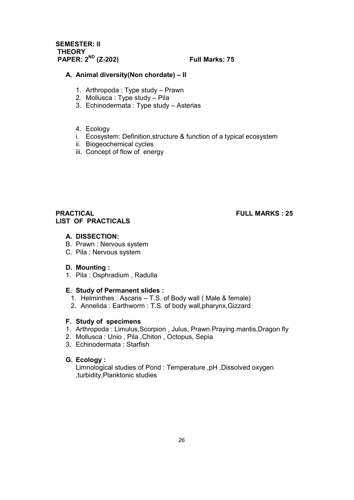**SEMESTER: II THEORY PAPER: 2ND (Z-202) Full Marks: 75**

#### **A. Animal diversity(Non chordate) – II**

- 1. Arthropoda : Type study Prawn
- 2. Mollusca : Type study Pila
- 3. Echinodermata : Type study Asterias
- 4. Ecology
- i. Ecosystem: Definition,structure & function of a typical ecosystem
- ii. Biogeochemical cycles
- iii. Concept of flow of energy

#### **PRACTICAL FULL MARKS : 25 LIST OF PRACTICALS**

#### **A. DISSECTION:**

- B. Prawn : Nervous system
- C. Pila : Nervous system

#### **D. Mounting :**

1. Pila : Osphradium , Radulla

#### **E. Study of Permanent slides :**

- 1. Helminthes : Ascaris T.S. of Body wall ( Male & female)
- 2. Annelida : Earthworm : T.S. of body wall,pharynx,Gizzard

#### **F. Study of specimens**

- 1. Arthropoda : Limulus,Scorpion , Julus, Prawn.Praying mantis,Dragon fly
- 2. Mollusca : Unio , Pila ,Chiton , Octopus, Sepia
- 3. Echinodermata : Starfish

#### **G. Ecology :**

Limnological studies of Pond : Temperature ,pH ,Dissolved oxygen ,turbidity,Planktonic studies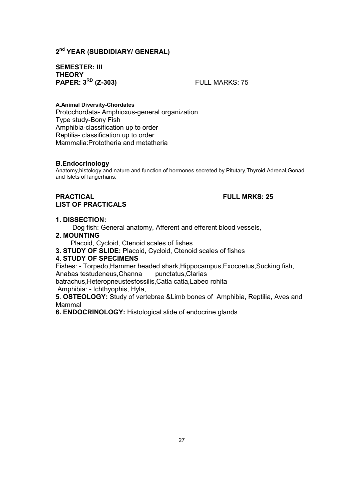#### **2nd YEAR (SUBDIDIARY/ GENERAL)**

#### **SEMESTER: III THEORY PAPER:**  $3^{RD}$  (**Z-303**) **FULL MARKS:** 75

#### **A.Animal Diversity-Chordates**

Protochordata- Amphioxus-general organization Type study-Bony Fish Amphibia-classification up to order Reptilia- classification up to order Mammalia:Prototheria and metatheria

#### **B.Endocrinology**

Anatomy,histology and nature and function of hormones secreted by Pitutary,Thyroid,Adrenal,Gonad and Islets of langerhans.

#### **PRACTICAL FULL MRKS: 25 LIST OF PRACTICALS**

#### **1. DISSECTION:**

Dog fish: General anatomy, Afferent and efferent blood vessels,

#### **2. MOUNTING**

Placoid, Cycloid, Ctenoid scales of fishes

**3. STUDY OF SLIDE:** Placoid, Cycloid, Ctenoid scales of fishes

#### **4. STUDY OF SPECIMENS**

Fishes: - Torpedo,Hammer headed shark,Hippocampus,Exocoetus,Sucking fish, Anabas testudeneus, Channa punctatus, Clarias

batrachus,Heteropneustesfossilis,Catla catla,Labeo rohita

Amphibia: - Ichthyophis, Hyla,

**5**. **OSTEOLOGY:** Study of vertebrae &Limb bones of Amphibia, Reptilia, Aves and Mammal

**6. ENDOCRINOLOGY:** Histological slide of endocrine glands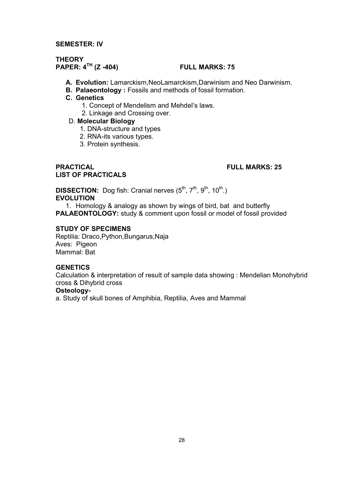#### **SEMESTER: IV**

#### **THEORY PAPER: 4TH (Z -404) FULL MARKS: 75**

- **A. Evolution:** Lamarckism,NeoLamarckism,Darwinism and Neo Darwinism.
- **B. Palaeontology :** Fossils and methods of fossil formation.

#### **C. Genetics**

- 1. Concept of Mendelism and Mehdel's laws.
- 2. Linkage and Crossing over.

#### D. **Molecular Biology**

- 1. DNA-structure and types
- 2. RNA-its various types.
- 3. Protein synthesis.

#### **PRACTICAL FULL MARKS: 25 LIST OF PRACTICALS**

**DISSECTION:** Dog fish: Cranial nerves (5<sup>th</sup>, 7<sup>th</sup>, 9<sup>th</sup>, 10<sup>th</sup>.) **EVOLUTION**

1. Homology & analogy as shown by wings of bird, bat and butterfly **PALAEONTOLOGY:** study & comment upon fossil or model of fossil provided

#### **STUDY OF SPECIMENS**

Reptilia: Draco,Python,Bungarus,Naja Aves: Pigeon Mammal: Bat

#### **GENETICS**

Calculation & interpretation of result of sample data showing : Mendelian Monohybrid cross & Dihybrid cross

#### **Osteology-**

a. Study of skull bones of Amphibia, Reptilia, Aves and Mammal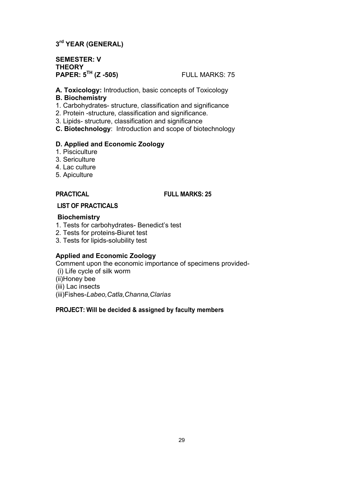### **3rd YEAR (GENERAL)**

**SEMESTER: V THEORY PAPER: 5TH (Z -505)** FULL MARKS: 75

**A. Toxicology:** Introduction, basic concepts of Toxicology

#### **B. Biochemistry**

- 1. Carbohydrates- structure, classification and significance
- 2. Protein -structure, classification and significance.
- 3. Lipids- structure, classification and significance
- **C. Biotechnology**: Introduction and scope of biotechnology

#### **D. Applied and Economic Zoology**

- 1. Pisciculture
- 3. Sericulture
- 4. Lac culture
- 5. Apiculture

#### **PRACTICAL FULL MARKS: 25**

### **LIST OF PRACTICALS**

#### **Biochemistry**

- 1. Tests for carbohydrates- Benedict's test
- 2. Tests for proteins-Biuret test
- 3. Tests for lipids-solubility test

#### **Applied and Economic Zoology**

Comment upon the economic importance of specimens provided-

- (i) Life cycle of silk worm
- (ii)Honey bee
- (iii) Lac insects

(iii)Fishes-*Labeo,Catla,Channa,Clarias*

#### **PROJECT: Will be decided & assigned by faculty members**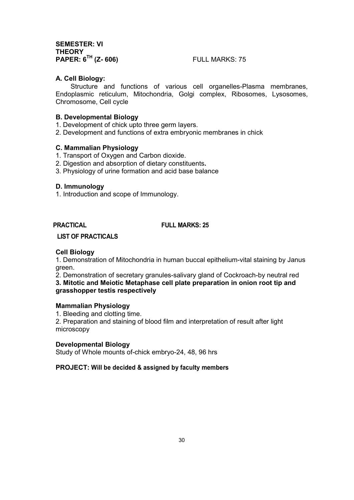**SEMESTER: VI THEORY PAPER: 6TH (Z- 606)** FULL MARKS: 75

#### **A. Cell Biology:**

Structure and functions of various cell organelles-Plasma membranes, Endoplasmic reticulum, Mitochondria, Golgi complex, Ribosomes, Lysosomes, Chromosome, Cell cycle

#### **B. Developmental Biology**

- 1. Development of chick upto three germ layers.
- 2. Development and functions of extra embryonic membranes in chick

#### **C. Mammalian Physiology**

- 1. Transport of Oxygen and Carbon dioxide.
- 2. Digestion and absorption of dietary constituents**.**
- 3. Physiology of urine formation and acid base balance

#### **D. Immunology**

1. Introduction and scope of Immunology.

#### **PRACTICAL FULL MARKS: 25**

#### **LIST OF PRACTICALS**

#### **Cell Biology**

1. Demonstration of Mitochondria in human buccal epithelium-vital staining by Janus green.

2. Demonstration of secretary granules-salivary gland of Cockroach-by neutral red

**3. Mitotic and Meiotic Metaphase cell plate preparation in onion root tip and grasshopper testis respectively** 

#### **Mammalian Physiology**

1. Bleeding and clotting time.

2. Preparation and staining of blood film and interpretation of result after light microscopy

#### **Developmental Biology**

Study of Whole mounts of-chick embryo-24, 48, 96 hrs

#### **PROJECT: Will be decided & assigned by faculty members**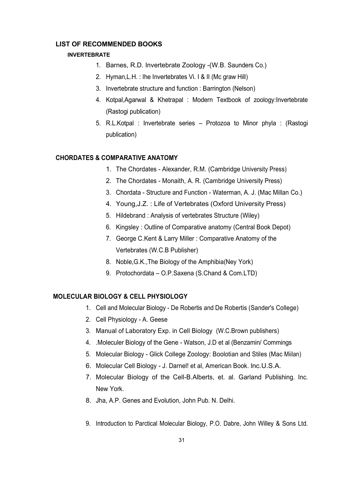#### **LIST OF RECOMMENDED BOOKS**

#### **INVERTEBRATE**

- 1. Barnes, R.D. Invertebrate Zoology -(W.B. Saunders Co.)
- 2. Hyman,L.H. : Ihe Invertebrates Vi. I & II (Mc graw Hill)
- 3. Invertebrate structure and function : Barrington (Nelson)
- 4. Kotpal,Agarwal & Khetrapal : Modern Textbook of zoology:Invertebrate (Rastogi publication)
- 5. R.L.Kotpal : Invertebrate series Protozoa to Minor phyla : (Rastogi publication)

#### **CHORDATES & COMPARATIVE ANATOMY**

- 1. The Chordates Alexander, R.M. (Cambridge University Press)
- 2. The Chordates Monaith, A. R. (Cambridge University Press)
- 3. Chordata Structure and Function Waterman, A. J. (Mac Millan Co.)
- 4. Young,J.Z. : Life of Vertebrates (Oxford University Press)
- 5. Hildebrand : Analysis of vertebrates Structure (Wiley)
- 6. Kingsley : Outline of Comparative anatomy (Central Book Depot)
- 7. George C.Kent & Larry Miller : Comparative Anatomy of the Vertebrates (W.C.B Publisher)
- 8. Noble,G.K.,The Biology of the Amphibia(Ney York)
- 9. Protochordata O.P.Saxena (S.Chand & Com.LTD)

#### **MOLECULAR BIOLOGY & CELL PHYSIOLOGY**

- 1. Cell and Molecular Biology De Robertis and De Robertis (Sander's College)
- 2. Cell Physiology A. Geese
- 3. Manual of Laboratory Exp. in Cell Biology (W.C.Brown publishers)
- 4. .Moleculer Biology of the Gene Watson, J.D et al (Benzamin/ Commings
- 5. Molecular Biology Glick College Zoology: Boolotian and Stiles (Mac Miilan)
- 6. Molecular Cell Biology J. Darnel! et al, American Book. lnc.U.S.A.
- 7. Molecular Biology of the Cell-B.Alberts, et. al. Garland Publishing. Inc. New York.
- 8. Jha, A.P. Genes and Evolution, John Pub. N. Delhi.
- 9. Introduction to Parctical Molecular Biology, P.O. Dabre, John Willey & Sons Ltd.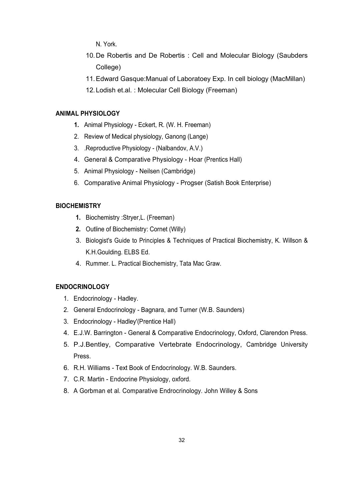N. York.

- 10.De Robertis and De Robertis : Cell and Molecular Biology (Saubders College)
- 11.Edward Gasque:Manual of Laboratoey Exp. In cell biology (MacMillan)
- 12.Lodish et.al. : Molecular Cell Biology (Freeman)

#### **ANIMAL PHYSIOLOGY**

- **1.** Animal Physiology Eckert, R. (W. H. Freeman)
- 2. Review of Medical physiology, Ganong (Lange)
- 3. .Reproductive Physiology (Nalbandov, A.V.)
- 4. General & Comparative Physiology Hoar (Prentics Hall)
- 5. Animal Physiology Neilsen (Cambridge)
- 6. Comparative Animal Physiology Progser (Satish Book Enterprise)

#### **BIOCHEMISTRY**

- **1.** Biochemistry :Stryer,L. (Freeman)
- **2.** Outline of Biochemistry: Cornet (Willy)
- 3. Biologist's Guide to Principles & Techniques of Practical Biochemistry, K. Willson & K.H.Goulding. ELBS Ed.
- 4. Rummer. L. Practical Biochemistry, Tata Mac Graw.

#### **ENDOCRINOLOGY**

- 1. Endocrinology Hadley.
- 2. General Endocrinology Bagnara, and Turner (W.B. Saunders)
- 3. Endocrinology Hadley'(Prentice Hall)
- 4. E.J.W. Barrington General & Comparative Endocrinology, Oxford, Clarendon Press.
- 5. P.J.Bentley, Comparative Vertebrate Endocrinology, Cambridge University Press.
- 6. R.H. Williams Text Book of Endocrinology. W.B. Saunders.
- 7. C.R. Martin Endocrine Physiology, oxford.
- 8. A Gorbman et al. Comparative Endrocrinology. John Willey & Sons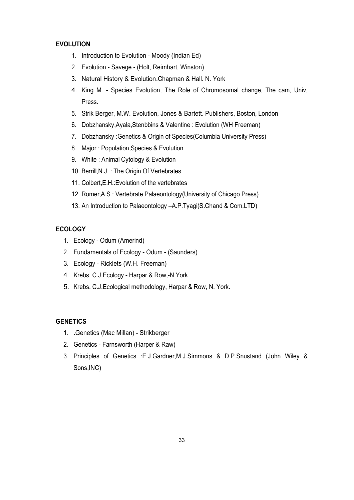#### **EVOLUTION**

- 1. Introduction to Evolution Moody (Indian Ed)
- 2. Evolution Savege (Holt, Reimhart, Winston)
- 3. Natural History & Evolution.Chapman & Hall. N. York
- 4. King M. Species Evolution, The Role of Chromosomal change, The cam, Univ, Press.
- 5. Strik Berger, M.W. Evolution, Jones & Bartett. Publishers, Boston, London
- 6. Dobzhansky,Ayala,Stenbbins & Valentine : Evolution (WH Freeman)
- 7. Dobzhansky :Genetics & Origin of Species(Columbia University Press)
- 8. Major : Population,Species & Evolution
- 9. White : Animal Cytology & Evolution
- 10. Berrill,N.J. : The Origin Of Vertebrates
- 11. Colbert,E.H.:Evolution of the vertebrates
- 12. Romer,A.S.: Vertebrate Palaeontology(University of Chicago Press)
- 13. An Introduction to Palaeontology –A.P.Tyagi(S.Chand & Com.LTD)

#### **ECOLOGY**

- 1. Ecology Odum (Amerind)
- 2. Fundamentals of Ecology Odum (Saunders)
- 3. Ecology Ricklets (W.H. Freeman)
- 4. Krebs. C.J.Ecology Harpar & Row,-N.York.
- 5. Krebs. C.J.Ecological methodology, Harpar & Row, N. York.

#### **GENETICS**

- 1. .Genetics (Mac Millan) Strikberger
- 2. Genetics Farnsworth (Harper & Raw)
- 3. Principles of Genetics :E.J.Gardner,M.J.Simmons & D.P.Snustand (John Wiley & Sons,INC)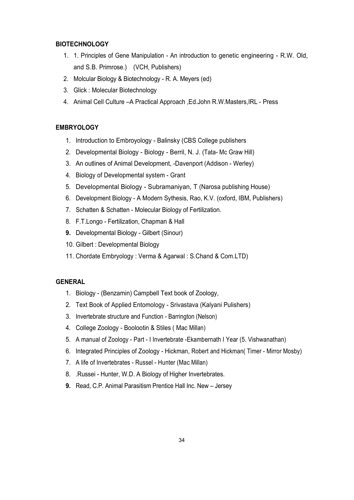#### **BIOTECHNOLOGY**

- 1. 1. Principles of Gene Manipulation An introduction to genetic engineering R.W. Old, and S.B. Primrose.) (VCH, Publishers)
- 2. Molcular Biology & Biotechnology R. A. Meyers (ed)
- 3. Glick : Molecular Biotechnology
- 4. Animal Cell Culture –A Practical Approach ,Ed.John R.W.Masters,IRL Press

#### **EMBRYOLOGY**

- 1. Introduction to Embroyology Balinsky (CBS College publishers
- 2. Developmental Biology Biology Berril, N. J. (Tata- Mc Graw Hill)
- 3. An outlines of Animal Development, -Davenport (Addison Werley)
- 4. Biology of Developmental system Grant
- 5. Developmental Biology Subramaniyan, T (Narosa publishing House)
- 6. Development Biology A Modern Sythesis, Rao, K.V. (oxford, IBM, Publishers)
- 7. Schatten & Schatten Molecular Biology of Fertilization.
- 8. F.T.Longo Fertilization, Chapman & Hall
- **9.** Developmental Biology Gilbert (Sinour)
- 10. Gilbert : Developmental Biology
- 11. Chordate Embryology : Verma & Agarwal : S.Chand & Com.LTD)

#### **GENERAL**

- 1. Biology (Benzamin) Campbell Text book of Zoology,
- 2. Text Book of Applied Entomology Srivastava (Kalyani Pulishers)
- 3. Invertebrate structure and Function Barrington (Nelson)
- 4. College Zoology Boolootin & Stiles ( Mac Millan)
- 5. A manual of Zoology Part I Invertebrate -Ekambernath I Year (5. Vishwanathan)
- 6. Integrated Principles of Zoology Hickman, Robert and Hickman( Timer Mirror Mosby)
- 7. A life of Invertebrates Russel Hunter (Mac Millan)
- 8. .Russei Hunter, W.D. A Biology of Higher Invertebrates.
- **9.** Read, C.P. Animal Parasitism Prentice Hall Inc. New Jersey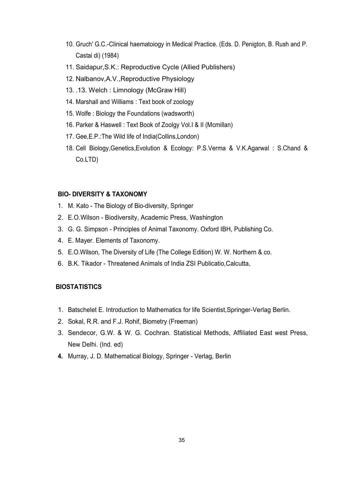- 10. Gruch' G.C.-Clinical haematoiogy in Medical Practice. (Eds. D. Penigton, B. Rush and P. Castai di) (1984)
- 11. Saidapur,S.K.: Reproductive Cycle (Allied Publishers)
- 12. Nalbanov,A.V.,Reproductive Physiology
- 13. .13. Welch : Limnology (McGraw Hill)
- 14. Marshall and Williams : Text book of zoology
- 15. Wolfe : Biology the Foundations (wadsworth)
- 16. Parker & Haswell : Text Book of Zoolgy Vol.I & II (Mcmillan)
- 17. Gee,E.P.:The Wild life of India(Collins,London)
- 18. Cell Biology,Genetics,Evolution & Ecology: P.S.Verma & V.K.Agarwal : S.Chand & Co.LTD)

#### **BIO- DIVERSITY & TAXONOMY**

- 1. M. Kato The Biology of Bio-diversity, Springer
- 2. E.O.Wilson Biodiversity, Academic Press, Washington
- 3. G. G. Simpson Principles of Animal Taxonomy. Oxford IBH, Publishing Co.
- 4. E. Mayer. Elements of Taxonomy.
- 5. E.O.Wilson, The Diversity of Life (The College Edition) W. W. Northern & co.
- 6. B.K. Tikador Threatened Animals of India ZSI Publicatio,Calcutta,

#### **BIOSTATISTICS**

- 1. Batschelet E. Introduction to Mathematics for life Scientist,Springer-Verlag Berlin.
- 2. Sokal, R.R. and F.J. Rohif, Biometry (Freeman)
- 3. Sendecor, G.W. & W. G. Cochran. Statistical Methods, Affiliated East west Press, New Delhi. (Ind. ed)
- **4.** Murray, J. D. Mathematical Biology, Springer Verlag, Berlin